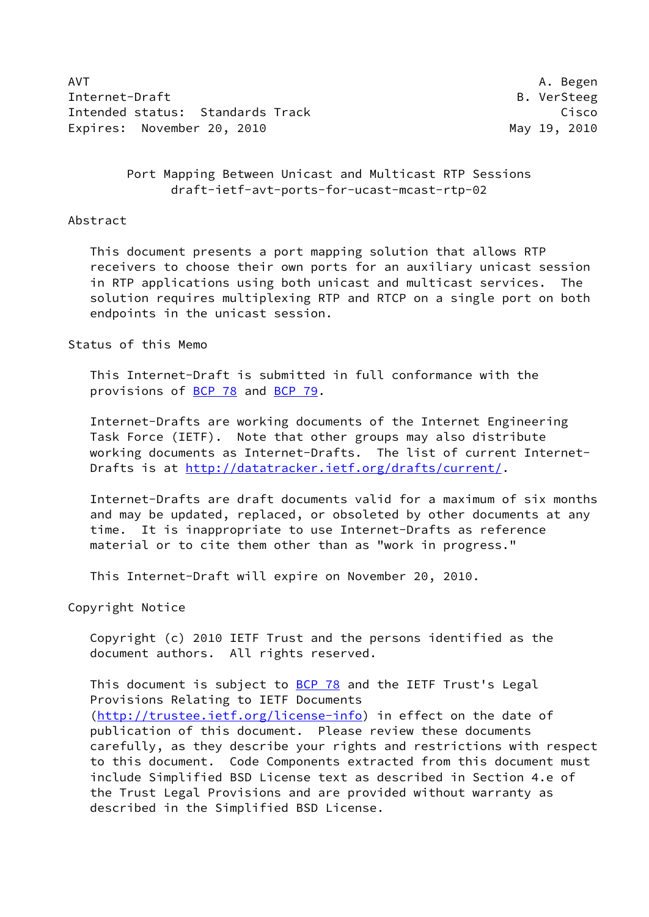AVT A. Begen Internet-Draft B. VerSteeg Intended status: Standards Track Cisco Cisco Cisco Expires: November 20, 2010 May 19, 2010

# Port Mapping Between Unicast and Multicast RTP Sessions draft-ietf-avt-ports-for-ucast-mcast-rtp-02

## Abstract

 This document presents a port mapping solution that allows RTP receivers to choose their own ports for an auxiliary unicast session in RTP applications using both unicast and multicast services. The solution requires multiplexing RTP and RTCP on a single port on both endpoints in the unicast session.

## Status of this Memo

 This Internet-Draft is submitted in full conformance with the provisions of [BCP 78](https://datatracker.ietf.org/doc/pdf/bcp78) and [BCP 79](https://datatracker.ietf.org/doc/pdf/bcp79).

 Internet-Drafts are working documents of the Internet Engineering Task Force (IETF). Note that other groups may also distribute working documents as Internet-Drafts. The list of current Internet- Drafts is at<http://datatracker.ietf.org/drafts/current/>.

 Internet-Drafts are draft documents valid for a maximum of six months and may be updated, replaced, or obsoleted by other documents at any time. It is inappropriate to use Internet-Drafts as reference material or to cite them other than as "work in progress."

This Internet-Draft will expire on November 20, 2010.

Copyright Notice

 Copyright (c) 2010 IETF Trust and the persons identified as the document authors. All rights reserved.

This document is subject to **[BCP 78](https://datatracker.ietf.org/doc/pdf/bcp78)** and the IETF Trust's Legal Provisions Relating to IETF Documents [\(http://trustee.ietf.org/license-info](http://trustee.ietf.org/license-info)) in effect on the date of publication of this document. Please review these documents carefully, as they describe your rights and restrictions with respect to this document. Code Components extracted from this document must include Simplified BSD License text as described in Section 4.e of the Trust Legal Provisions and are provided without warranty as described in the Simplified BSD License.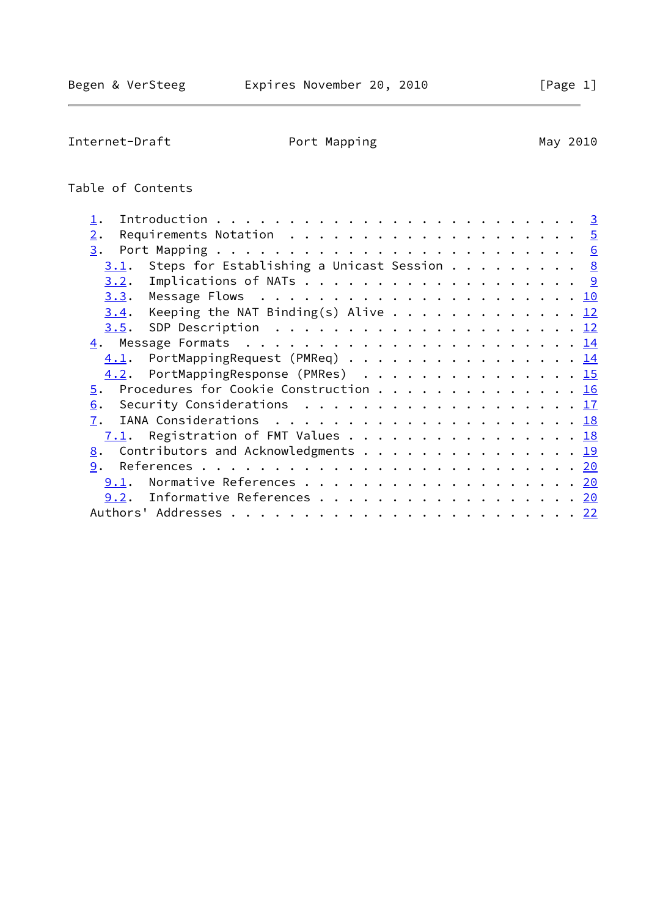# Table of Contents

| Requirements Notation $\dots \dots \dots \dots \dots \dots \dots \dots$<br>2. |  |
|-------------------------------------------------------------------------------|--|
| 3.                                                                            |  |
| Steps for Establishing a Unicast Session $\underline{8}$<br>3.1.              |  |
| 3.2.                                                                          |  |
|                                                                               |  |
| Keeping the NAT Binding(s) Alive 12<br>3.4.                                   |  |
|                                                                               |  |
|                                                                               |  |
| $4.1$ . PortMappingRequest (PMReq) 14                                         |  |
| 4.2. PortMappingResponse (PMRes) 15                                           |  |
| 5. Procedures for Cookie Construction 16                                      |  |
| 6.                                                                            |  |
| 7.                                                                            |  |
| $7.1$ . Registration of FMT Values 18                                         |  |
| 8. Contributors and Acknowledgments 19                                        |  |
| 9.                                                                            |  |
| 9.1. Normative References 20                                                  |  |
| 9.2. Informative References 20                                                |  |
|                                                                               |  |
|                                                                               |  |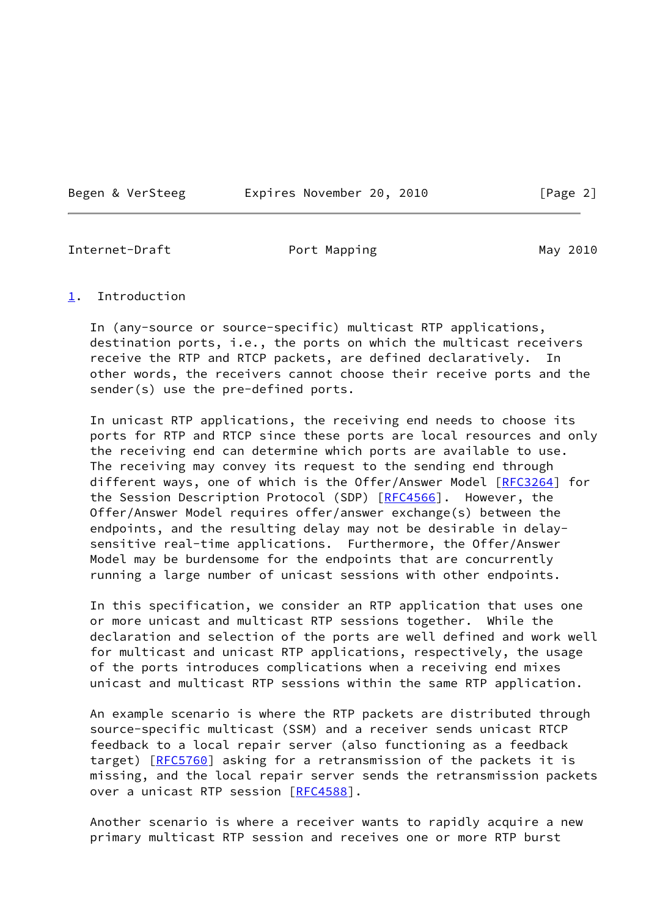Begen & VerSteeg Expires November 20, 2010 [Page 2]

<span id="page-2-1"></span>Internet-Draft **Port Mapping May 2010** 

<span id="page-2-0"></span>[1](#page-2-0). Introduction

 In (any-source or source-specific) multicast RTP applications, destination ports, i.e., the ports on which the multicast receivers receive the RTP and RTCP packets, are defined declaratively. In other words, the receivers cannot choose their receive ports and the sender(s) use the pre-defined ports.

 In unicast RTP applications, the receiving end needs to choose its ports for RTP and RTCP since these ports are local resources and only the receiving end can determine which ports are available to use. The receiving may convey its request to the sending end through different ways, one of which is the Offer/Answer Model [\[RFC3264](https://datatracker.ietf.org/doc/pdf/rfc3264)] for the Session Description Protocol (SDP) [\[RFC4566](https://datatracker.ietf.org/doc/pdf/rfc4566)]. However, the Offer/Answer Model requires offer/answer exchange(s) between the endpoints, and the resulting delay may not be desirable in delay sensitive real-time applications. Furthermore, the Offer/Answer Model may be burdensome for the endpoints that are concurrently running a large number of unicast sessions with other endpoints.

 In this specification, we consider an RTP application that uses one or more unicast and multicast RTP sessions together. While the declaration and selection of the ports are well defined and work well for multicast and unicast RTP applications, respectively, the usage of the ports introduces complications when a receiving end mixes unicast and multicast RTP sessions within the same RTP application.

 An example scenario is where the RTP packets are distributed through source-specific multicast (SSM) and a receiver sends unicast RTCP feedback to a local repair server (also functioning as a feedback target) [\[RFC5760](https://datatracker.ietf.org/doc/pdf/rfc5760)] asking for a retransmission of the packets it is missing, and the local repair server sends the retransmission packets over a unicast RTP session [[RFC4588\]](https://datatracker.ietf.org/doc/pdf/rfc4588).

 Another scenario is where a receiver wants to rapidly acquire a new primary multicast RTP session and receives one or more RTP burst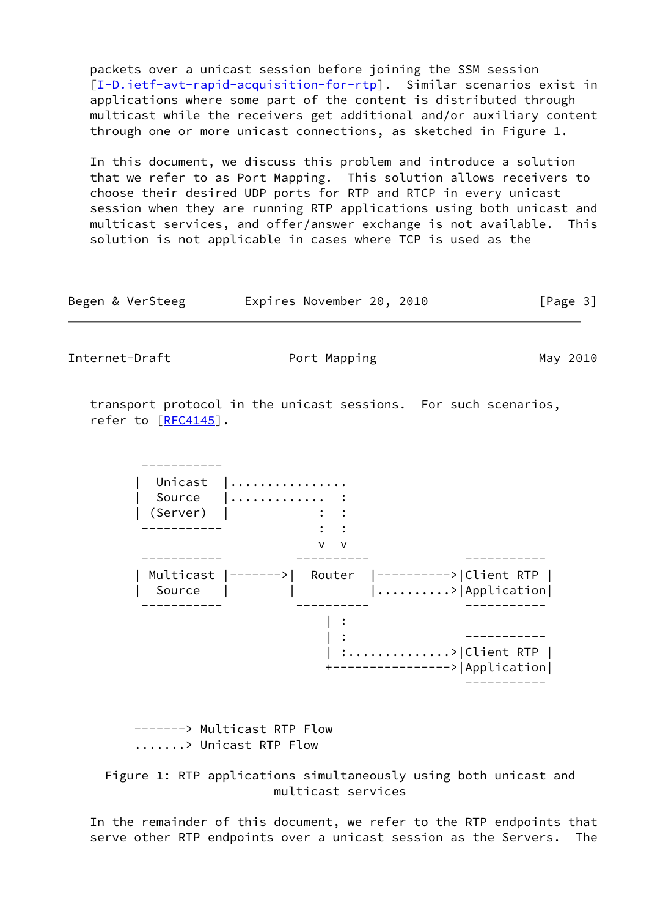packets over a unicast session before joining the SSM session [\[I-D.ietf-avt-rapid-acquisition-for-rtp](#page-22-1)]. Similar scenarios exist in applications where some part of the content is distributed through multicast while the receivers get additional and/or auxiliary content through one or more unicast connections, as sketched in Figure 1.

 In this document, we discuss this problem and introduce a solution that we refer to as Port Mapping. This solution allows receivers to choose their desired UDP ports for RTP and RTCP in every unicast session when they are running RTP applications using both unicast and multicast services, and offer/answer exchange is not available. This solution is not applicable in cases where TCP is used as the

| Begen & VerSteeg | Expires November 20, 2010 |  | [Page 3] |
|------------------|---------------------------|--|----------|
|------------------|---------------------------|--|----------|

Internet-Draft Port Mapping May 2010

 transport protocol in the unicast sessions. For such scenarios, refer to [\[RFC4145](https://datatracker.ietf.org/doc/pdf/rfc4145)].

 ----------- Unicast |................ | Source |............. : | (Server) | : : ----------- : : v v ----------- ---------- ----------- | Multicast |------->| Router |---------->|Client RTP | Source  $|$  |  $|$  | ..........>|Application| ----------- ---------- ----------- | : | : ----------- | :..............>|Client RTP | +---------------->|Application| -----------

> -------> Multicast RTP Flow .......> Unicast RTP Flow

 Figure 1: RTP applications simultaneously using both unicast and multicast services

 In the remainder of this document, we refer to the RTP endpoints that serve other RTP endpoints over a unicast session as the Servers. The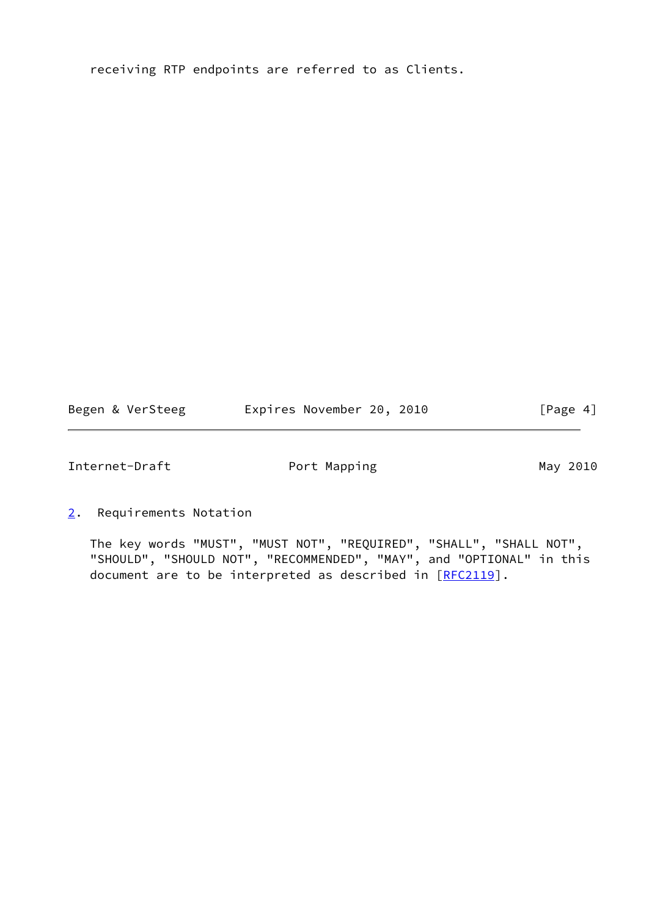receiving RTP endpoints are referred to as Clients.

Begen & VerSteeg Expires November 20, 2010 [Page 4]

<span id="page-4-1"></span>Internet-Draft **Port Mapping May 2010** 

<span id="page-4-0"></span>[2](#page-4-0). Requirements Notation

 The key words "MUST", "MUST NOT", "REQUIRED", "SHALL", "SHALL NOT", "SHOULD", "SHOULD NOT", "RECOMMENDED", "MAY", and "OPTIONAL" in this document are to be interpreted as described in [\[RFC2119](https://datatracker.ietf.org/doc/pdf/rfc2119)].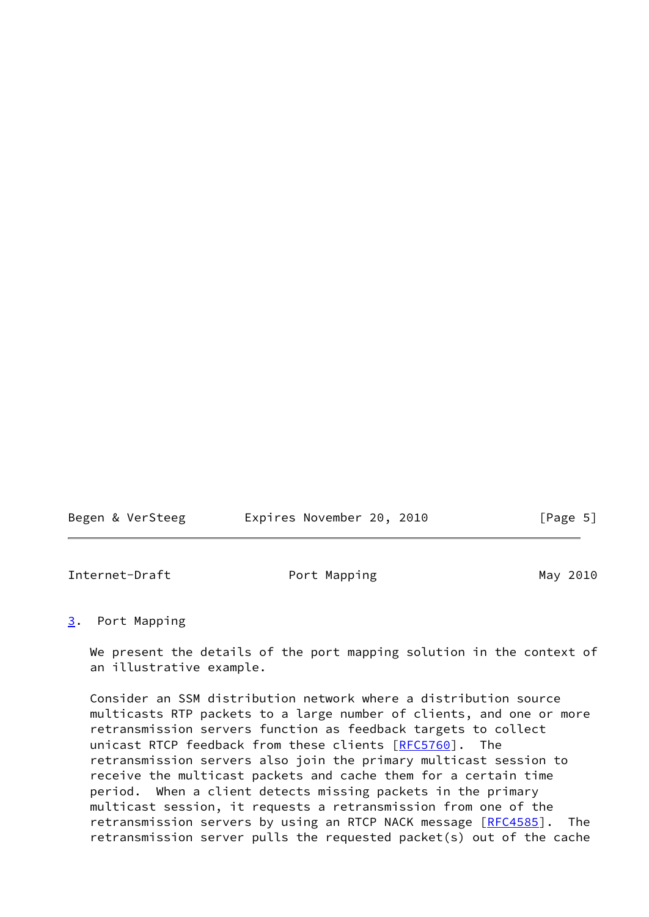<span id="page-5-1"></span>

| Begen & VerSteeg | Expires November 20, 2010 | [Page 5] |
|------------------|---------------------------|----------|
|                  |                           |          |

# <span id="page-5-0"></span>[3](#page-5-0). Port Mapping

 We present the details of the port mapping solution in the context of an illustrative example.

 Consider an SSM distribution network where a distribution source multicasts RTP packets to a large number of clients, and one or more retransmission servers function as feedback targets to collect unicast RTCP feedback from these clients [\[RFC5760](https://datatracker.ietf.org/doc/pdf/rfc5760)]. The retransmission servers also join the primary multicast session to receive the multicast packets and cache them for a certain time period. When a client detects missing packets in the primary multicast session, it requests a retransmission from one of the retransmission servers by using an RTCP NACK message [\[RFC4585](https://datatracker.ietf.org/doc/pdf/rfc4585)]. The retransmission server pulls the requested packet(s) out of the cache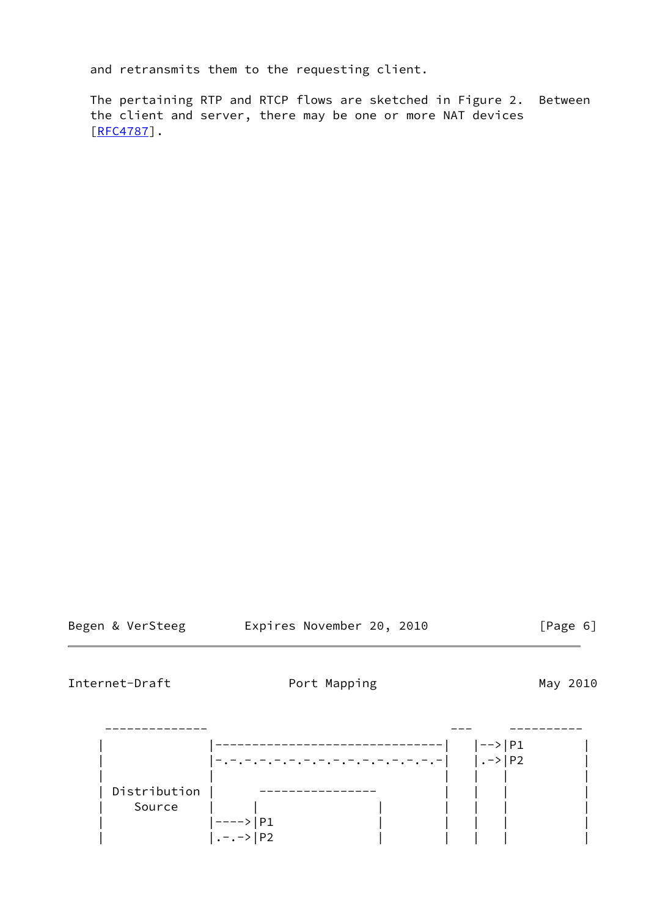and retransmits them to the requesting client.

 The pertaining RTP and RTCP flows are sketched in Figure 2. Between the client and server, there may be one or more NAT devices [\[RFC4787](https://datatracker.ietf.org/doc/pdf/rfc4787)].

|  |  | Begen & VerSteeg |
|--|--|------------------|
|--|--|------------------|

Expires November 20, 2010 [Page 6]

Internet-Draft **Port Mapping May 2010** 

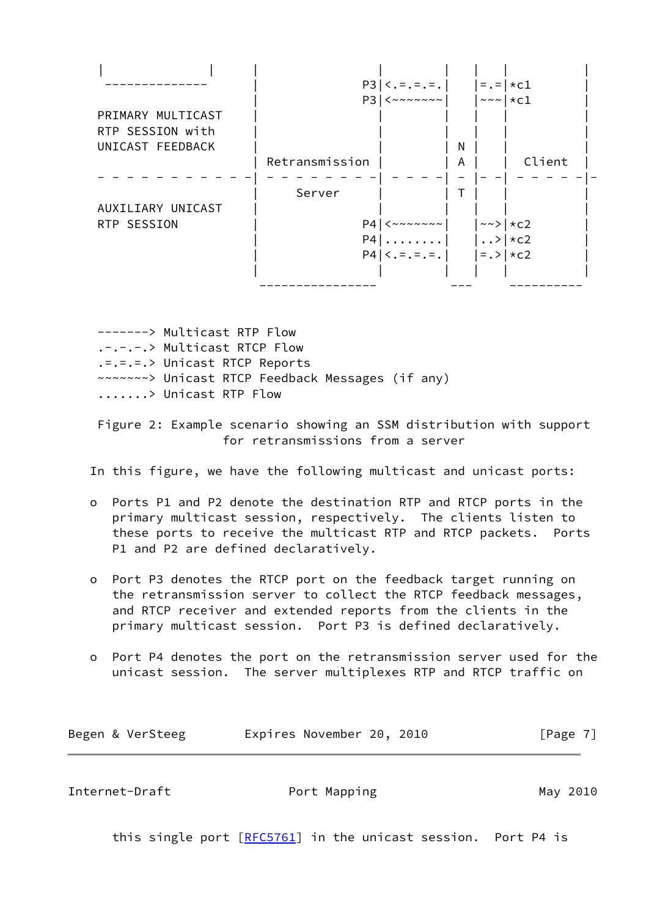|                   | $P3 \mid  \, < \, = \, = \, = \, = \, .$                                        |   | $= . =   * c1$                         |  |
|-------------------|---------------------------------------------------------------------------------|---|----------------------------------------|--|
|                   | P3<br>$&\leftarrow\leftarrow\leftarrow\leftarrow\leftarrow\leftarrow\leftarrow$ |   | $\sim$ $\sim$ $\mid$ $\star$ c1        |  |
| PRIMARY MULTICAST |                                                                                 |   |                                        |  |
| RTP SESSION with  |                                                                                 |   |                                        |  |
| UNICAST FEEDBACK  |                                                                                 | N |                                        |  |
|                   | Retransmission                                                                  | Α | Client                                 |  |
|                   | Server                                                                          |   |                                        |  |
| AUXILIARY UNICAST |                                                                                 |   |                                        |  |
| RTP SESSION       | P4<br>$\langle\sim\sim\sim\sim\sim\sim\sim$                                     |   | $\sim$ $\rightarrow$ $\mid$ $\star$ c2 |  |
|                   | $P4$                                                                            |   | $\cdot \cdot$ $\times$ $\times$ c2     |  |
|                   | $P4 \mid \langle .= .= .= . \mid$                                               |   | $=$ .> $ \star c2$                     |  |
|                   |                                                                                 |   |                                        |  |
|                   |                                                                                 |   |                                        |  |

 -------> Multicast RTP Flow .-.-.-.> Multicast RTCP Flow .=.=.=.> Unicast RTCP Reports ~~~~~~~> Unicast RTCP Feedback Messages (if any) .......> Unicast RTP Flow

 Figure 2: Example scenario showing an SSM distribution with support for retransmissions from a server

In this figure, we have the following multicast and unicast ports:

- o Ports P1 and P2 denote the destination RTP and RTCP ports in the primary multicast session, respectively. The clients listen to these ports to receive the multicast RTP and RTCP packets. Ports P1 and P2 are defined declaratively.
- o Port P3 denotes the RTCP port on the feedback target running on the retransmission server to collect the RTCP feedback messages, and RTCP receiver and extended reports from the clients in the primary multicast session. Port P3 is defined declaratively.
- o Port P4 denotes the port on the retransmission server used for the unicast session. The server multiplexes RTP and RTCP traffic on

| Begen & VerSteeg | Expires November 20, 2010 | [Page 7] |
|------------------|---------------------------|----------|
|------------------|---------------------------|----------|

<span id="page-7-0"></span>Internet-Draft **Port Mapping May 2010** 

this single port [\[RFC5761](https://datatracker.ietf.org/doc/pdf/rfc5761)] in the unicast session. Port P4 is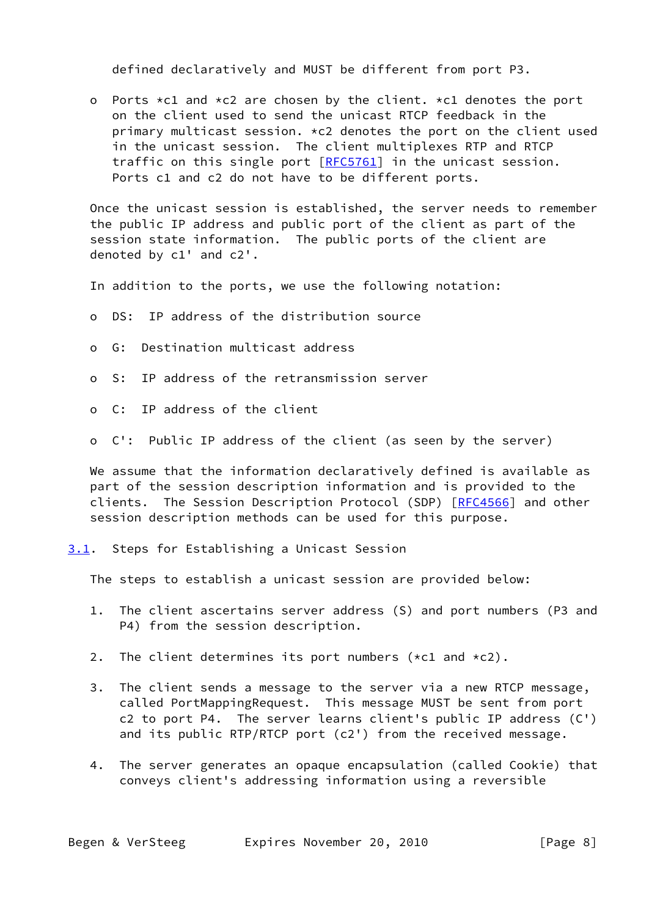defined declaratively and MUST be different from port P3.

o Ports  $\star$ c1 and  $\star$ c2 are chosen by the client.  $\star$ c1 denotes the port on the client used to send the unicast RTCP feedback in the primary multicast session.  $\star$ c2 denotes the port on the client used in the unicast session. The client multiplexes RTP and RTCP traffic on this single port [\[RFC5761](https://datatracker.ietf.org/doc/pdf/rfc5761)] in the unicast session. Ports c1 and c2 do not have to be different ports.

 Once the unicast session is established, the server needs to remember the public IP address and public port of the client as part of the session state information. The public ports of the client are denoted by c1' and c2'.

In addition to the ports, we use the following notation:

- o DS: IP address of the distribution source
- o G: Destination multicast address
- o S: IP address of the retransmission server
- o C: IP address of the client
- o C': Public IP address of the client (as seen by the server)

 We assume that the information declaratively defined is available as part of the session description information and is provided to the clients. The Session Description Protocol (SDP) [\[RFC4566](https://datatracker.ietf.org/doc/pdf/rfc4566)] and other session description methods can be used for this purpose.

<span id="page-8-0"></span>[3.1](#page-8-0). Steps for Establishing a Unicast Session

The steps to establish a unicast session are provided below:

- 1. The client ascertains server address (S) and port numbers (P3 and P4) from the session description.
- 2. The client determines its port numbers (\*c1 and \*c2).
- 3. The client sends a message to the server via a new RTCP message, called PortMappingRequest. This message MUST be sent from port c2 to port P4. The server learns client's public IP address (C') and its public RTP/RTCP port (c2') from the received message.
- 4. The server generates an opaque encapsulation (called Cookie) that conveys client's addressing information using a reversible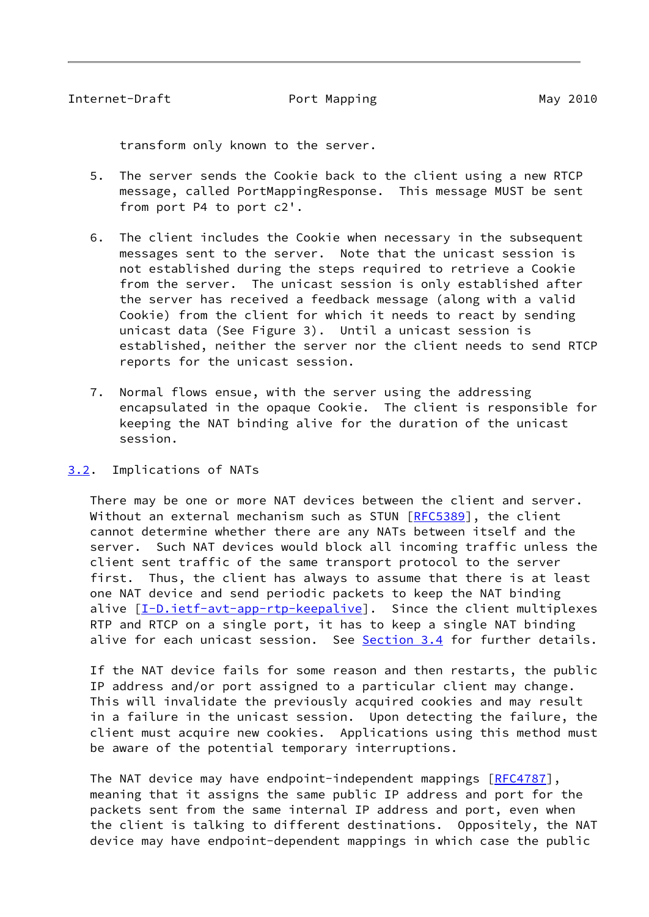<span id="page-9-1"></span>transform only known to the server.

- 5. The server sends the Cookie back to the client using a new RTCP message, called PortMappingResponse. This message MUST be sent from port P4 to port c2'.
- 6. The client includes the Cookie when necessary in the subsequent messages sent to the server. Note that the unicast session is not established during the steps required to retrieve a Cookie from the server. The unicast session is only established after the server has received a feedback message (along with a valid Cookie) from the client for which it needs to react by sending unicast data (See Figure 3). Until a unicast session is established, neither the server nor the client needs to send RTCP reports for the unicast session.
- 7. Normal flows ensue, with the server using the addressing encapsulated in the opaque Cookie. The client is responsible for keeping the NAT binding alive for the duration of the unicast session.

# <span id="page-9-0"></span>[3.2](#page-9-0). Implications of NATs

 There may be one or more NAT devices between the client and server. Without an external mechanism such as STUN [[RFC5389\]](https://datatracker.ietf.org/doc/pdf/rfc5389), the client cannot determine whether there are any NATs between itself and the server. Such NAT devices would block all incoming traffic unless the client sent traffic of the same transport protocol to the server first. Thus, the client has always to assume that there is at least one NAT device and send periodic packets to keep the NAT binding alive [[I-D.ietf-avt-app-rtp-keepalive](#page-22-2)]. Since the client multiplexes RTP and RTCP on a single port, it has to keep a single NAT binding alive for each unicast session. See [Section 3.4](#page-12-0) for further details.

 If the NAT device fails for some reason and then restarts, the public IP address and/or port assigned to a particular client may change. This will invalidate the previously acquired cookies and may result in a failure in the unicast session. Upon detecting the failure, the client must acquire new cookies. Applications using this method must be aware of the potential temporary interruptions.

The NAT device may have endpoint-independent mappings [[RFC4787](https://datatracker.ietf.org/doc/pdf/rfc4787)], meaning that it assigns the same public IP address and port for the packets sent from the same internal IP address and port, even when the client is talking to different destinations. Oppositely, the NAT device may have endpoint-dependent mappings in which case the public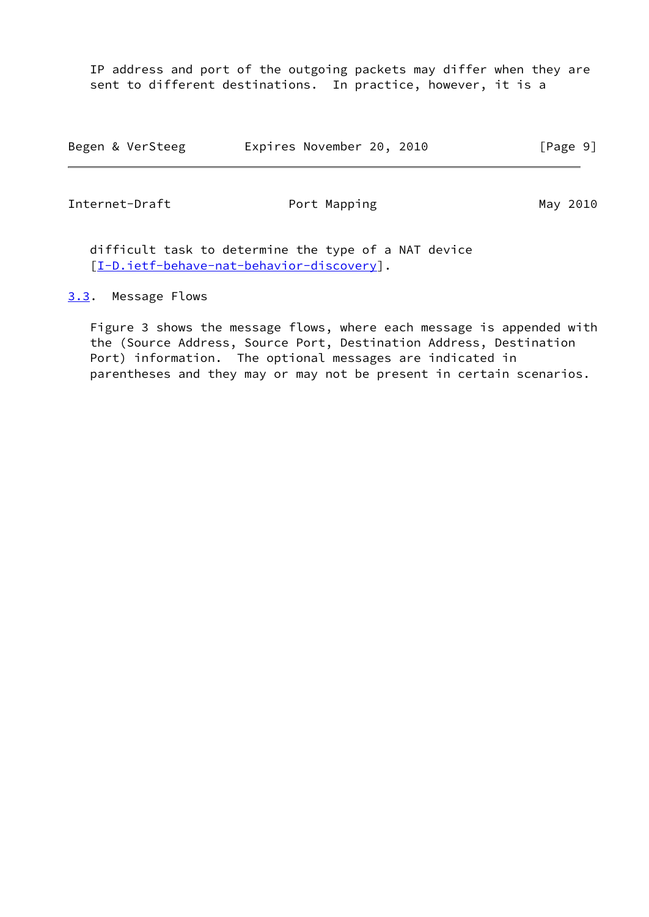IP address and port of the outgoing packets may differ when they are sent to different destinations. In practice, however, it is a

| Begen & VerSteeg | Expires November 20, 2010 |  | [Page 9] |
|------------------|---------------------------|--|----------|
|------------------|---------------------------|--|----------|

<span id="page-10-1"></span>Internet-Draft Port Mapping May 2010

 difficult task to determine the type of a NAT device [\[I-D.ietf-behave-nat-behavior-discovery](#page-22-3)].

### <span id="page-10-0"></span>[3.3](#page-10-0). Message Flows

 Figure 3 shows the message flows, where each message is appended with the (Source Address, Source Port, Destination Address, Destination Port) information. The optional messages are indicated in parentheses and they may or may not be present in certain scenarios.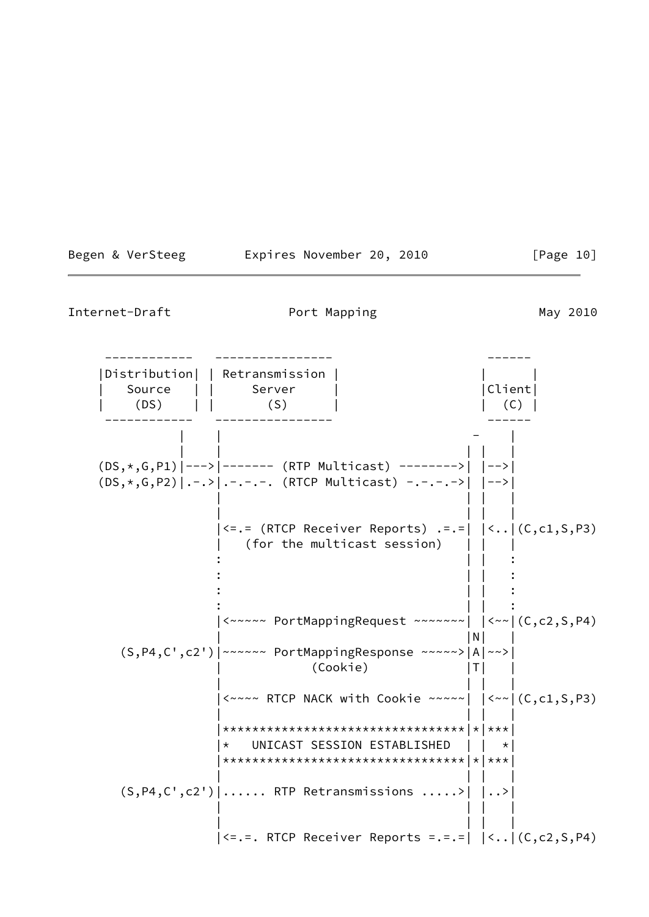|  | Begen & VerSteeg |  | Expires November 20, 2010 |  |  | [Page 10] |  |
|--|------------------|--|---------------------------|--|--|-----------|--|
|--|------------------|--|---------------------------|--|--|-----------|--|

 ------------ ---------------- ------ |Distribution| | Retransmission | | | Source | | Server | | | | |Client| | (DS) | | (S) | | (C) | ------------ ---------------- ------ | | - | | | | | | (DS,\*,G,P1)|--->|------- (RTP Multicast) -------->| |-->| (DS,\*,G,P2)|.-.>|.-.-.-. (RTCP Multicast) -.-.-.->| |-->| | | | | | | | | |<=.= (RTCP Receiver Reports) .=.=| |<..|(C,c1,S,P3) (for the multicast session)  $\| \cdot \|_1 = \| \cdot \|_1 = \| \cdot \|_1 = \| \cdot \|_1 = \| \cdot \|_1 = \| \cdot \|_1 = \| \cdot \|_1 = \| \cdot \|_1 = \| \cdot \|_1 = \| \cdot \|_1 = \| \cdot \|_1 = \| \cdot \|_1 = \| \cdot \|_1 = \| \cdot \|_1 = \| \cdot \|_1 = \| \cdot \|_1 = \| \cdot \|_1 = \| \cdot \|_1 = \| \cdot \|_1 = \| \cdot \|_1 = \| \cdot \|_1 = \| \cdot \|_1 = \| \cdot \|_1 = \| \cdot \|_1 = \| \cdot \|_1 = \| \cdot \|_1 = \| \cdot \|_1 = \| \cdot$  $\| \cdot \|_1 = \| \cdot \|_1 = \| \cdot \|_1 = \| \cdot \|_1 = \| \cdot \|_1 = \| \cdot \|_1 = \| \cdot \|_1 = \| \cdot \|_1 = \| \cdot \|_1 = \| \cdot \|_1 = \| \cdot \|_1 = \| \cdot \|_1 = \| \cdot \|_1 = \| \cdot \|_1 = \| \cdot \|_1 = \| \cdot \|_1 = \| \cdot \|_1 = \| \cdot \|_1 = \| \cdot \|_1 = \| \cdot \|_1 = \| \cdot \|_1 = \| \cdot \|_1 = \| \cdot \|_1 = \| \cdot \|_1 = \| \cdot \|_1 = \| \cdot \|_1 = \| \cdot \|_1 = \| \cdot$  $\| \cdot \|_1 = \| \cdot \|_1 = \| \cdot \|_1 = \| \cdot \|_1 = \| \cdot \|_1 = \| \cdot \|_1 = \| \cdot \|_1 = \| \cdot \|_1 = \| \cdot \|_1 = \| \cdot \|_1 = \| \cdot \|_1 = \| \cdot \|_1 = \| \cdot \|_1 = \| \cdot \|_1 = \| \cdot \|_1 = \| \cdot \|_1 = \| \cdot \|_1 = \| \cdot \|_1 = \| \cdot \|_1 = \| \cdot \|_1 = \| \cdot \|_1 = \| \cdot \|_1 = \| \cdot \|_1 = \| \cdot \|_1 = \| \cdot \|_1 = \| \cdot \|_1 = \| \cdot \|_1 = \| \cdot$  $\| \cdot \|_1 = \| \cdot \|_1 = \| \cdot \|_1 = \| \cdot \|_1 = \| \cdot \|_1 = \| \cdot \|_1 = \| \cdot \|_1 = \| \cdot \|_1 = \| \cdot \|_1 = \| \cdot \|_1 = \| \cdot \|_1 = \| \cdot \|_1 = \| \cdot \|_1 = \| \cdot \|_1 = \| \cdot \|_1 = \| \cdot \|_1 = \| \cdot \|_1 = \| \cdot \|_1 = \| \cdot \|_1 = \| \cdot \|_1 = \| \cdot \|_1 = \| \cdot \|_1 = \| \cdot \|_1 = \| \cdot \|_1 = \| \cdot \|_1 = \| \cdot \|_1 = \| \cdot \|_1 = \| \cdot$  |<~~~~~ PortMappingRequest ~~~~~~~| |<~~|(C,c2,S,P4) | |N| | (S,P4,C',c2')|~~~~~~ PortMappingResponse ~~~~~>|A|~~>| | (Cookie) |T| | | | | | |<~~~~ RTCP NACK with Cookie ~~~~~| |<~~|(C,c1,S,P3) | | | | |\*\*\*\*\*\*\*\*\*\*\*\*\*\*\*\*\*\*\*\*\*\*\*\*\*\*\*\*\*\*\*\*\*|\*|\*\*\*| |\* UNICAST SESSION ESTABLISHED | | \*| |\*\*\*\*\*\*\*\*\*\*\*\*\*\*\*\*\*\*\*\*\*\*\*\*\*\*\*\*\*\*\*\*\*|\*|\*\*\*| | | | |  $(S, P4, C', c2')$ ...... RTP Retransmissions .....>  $| ... |$  | | | | | | | | |<=.=. RTCP Receiver Reports =.=.=| |<..|(C,c2,S,P4)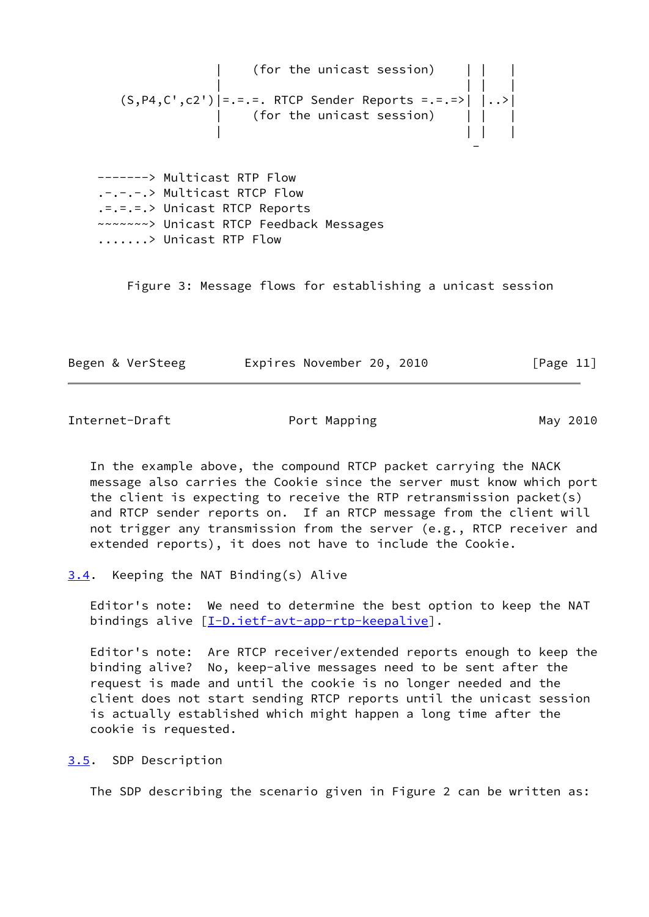(for the unicast session) | | | | (S,P4,C',c2')|=.=.=. RTCP Sender Reports =.=.=>| |..>| | (for the unicast session) | | | | | | |

 -------> Multicast RTP Flow .-.-.-.> Multicast RTCP Flow .=.=.=.> Unicast RTCP Reports ~~~~~~~> Unicast RTCP Feedback Messages .......> Unicast RTP Flow

and the contract of the contract of the contract of the contract of the contract of the contract of the contract of

Figure 3: Message flows for establishing a unicast session

| Begen & VerSteeg | Expires November 20, 2010 | [Page 11] |
|------------------|---------------------------|-----------|
|------------------|---------------------------|-----------|

<span id="page-12-1"></span>Internet-Draft Port Mapping May 2010

 In the example above, the compound RTCP packet carrying the NACK message also carries the Cookie since the server must know which port the client is expecting to receive the RTP retransmission packet(s) and RTCP sender reports on. If an RTCP message from the client will not trigger any transmission from the server (e.g., RTCP receiver and extended reports), it does not have to include the Cookie.

<span id="page-12-0"></span>[3.4](#page-12-0). Keeping the NAT Binding(s) Alive

 Editor's note: We need to determine the best option to keep the NAT bindings alive [\[I-D.ietf-avt-app-rtp-keepalive](#page-22-2)].

 Editor's note: Are RTCP receiver/extended reports enough to keep the binding alive? No, keep-alive messages need to be sent after the request is made and until the cookie is no longer needed and the client does not start sending RTCP reports until the unicast session is actually established which might happen a long time after the cookie is requested.

<span id="page-12-2"></span>[3.5](#page-12-2). SDP Description

The SDP describing the scenario given in Figure 2 can be written as: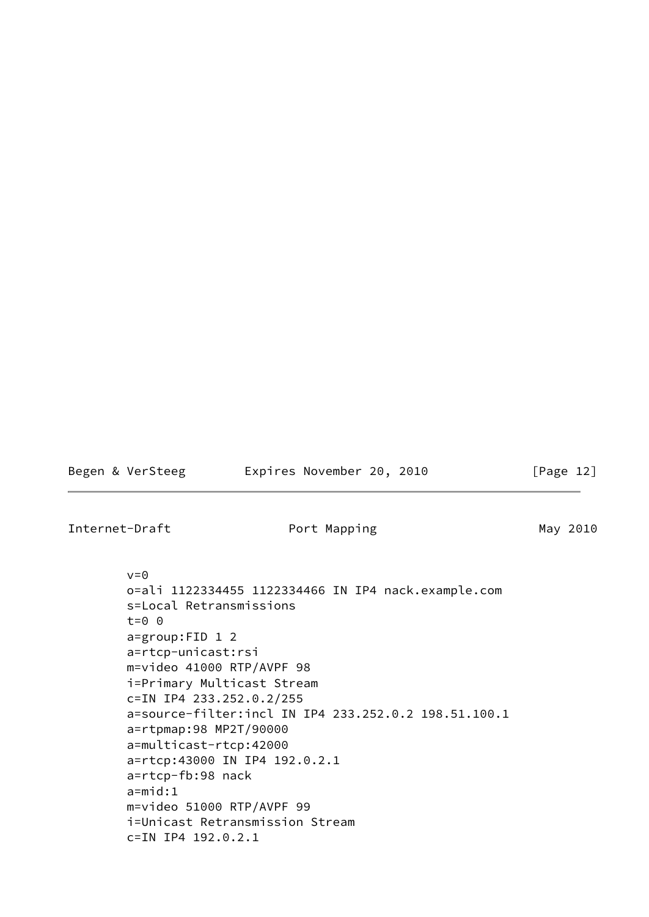| Begen & VerSteeg | Expires November 20, 2010 | [Page 12] |
|------------------|---------------------------|-----------|
| Internet-Draft   | Port Mapping              | May 2010  |

```
v=0 o=ali 1122334455 1122334466 IN IP4 nack.example.com
 s=Local Retransmissions
t=0 \theta a=group:FID 1 2
 a=rtcp-unicast:rsi
 m=video 41000 RTP/AVPF 98
 i=Primary Multicast Stream
 c=IN IP4 233.252.0.2/255
 a=source-filter:incl IN IP4 233.252.0.2 198.51.100.1
 a=rtpmap:98 MP2T/90000
 a=multicast-rtcp:42000
 a=rtcp:43000 IN IP4 192.0.2.1
 a=rtcp-fb:98 nack
 a=mid:1
 m=video 51000 RTP/AVPF 99
 i=Unicast Retransmission Stream
 c=IN IP4 192.0.2.1
```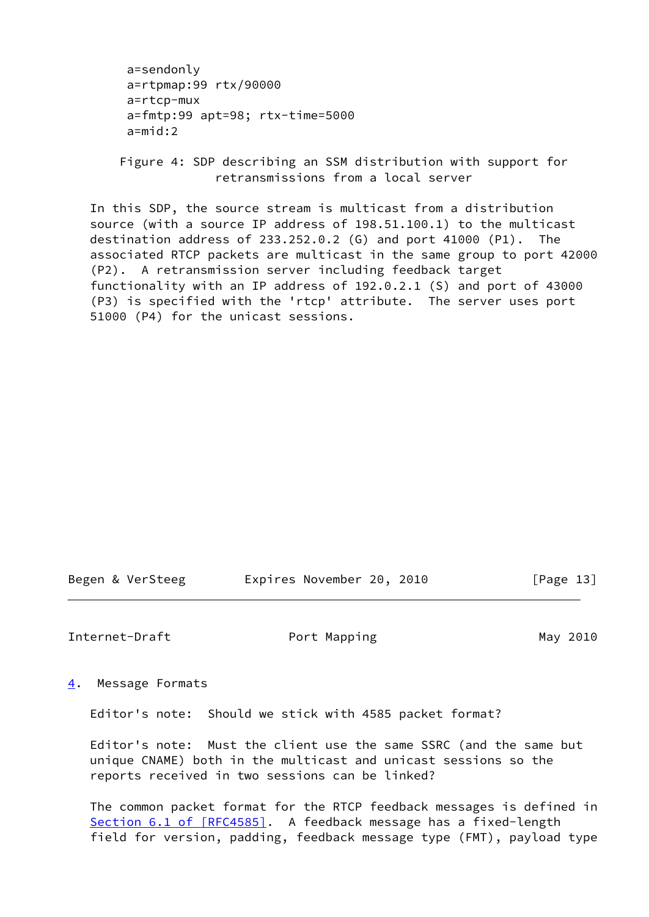```
 a=sendonly
 a=rtpmap:99 rtx/90000
 a=rtcp-mux
 a=fmtp:99 apt=98; rtx-time=5000
 a=mid:2
```
 Figure 4: SDP describing an SSM distribution with support for retransmissions from a local server

 In this SDP, the source stream is multicast from a distribution source (with a source IP address of 198.51.100.1) to the multicast destination address of 233.252.0.2 (G) and port 41000 (P1). The associated RTCP packets are multicast in the same group to port 42000 (P2). A retransmission server including feedback target functionality with an IP address of 192.0.2.1 (S) and port of 43000 (P3) is specified with the 'rtcp' attribute. The server uses port 51000 (P4) for the unicast sessions.

Begen & VerSteeg Expires November 20, 2010 [Page 13]

<span id="page-14-1"></span>Internet-Draft Port Mapping May 2010

<span id="page-14-0"></span>[4](#page-14-0). Message Formats

Editor's note: Should we stick with 4585 packet format?

 Editor's note: Must the client use the same SSRC (and the same but unique CNAME) both in the multicast and unicast sessions so the reports received in two sessions can be linked?

 The common packet format for the RTCP feedback messages is defined in Section [6.1 of \[RFC4585\]](https://datatracker.ietf.org/doc/pdf/rfc4585#section-6.1). A feedback message has a fixed-length field for version, padding, feedback message type (FMT), payload type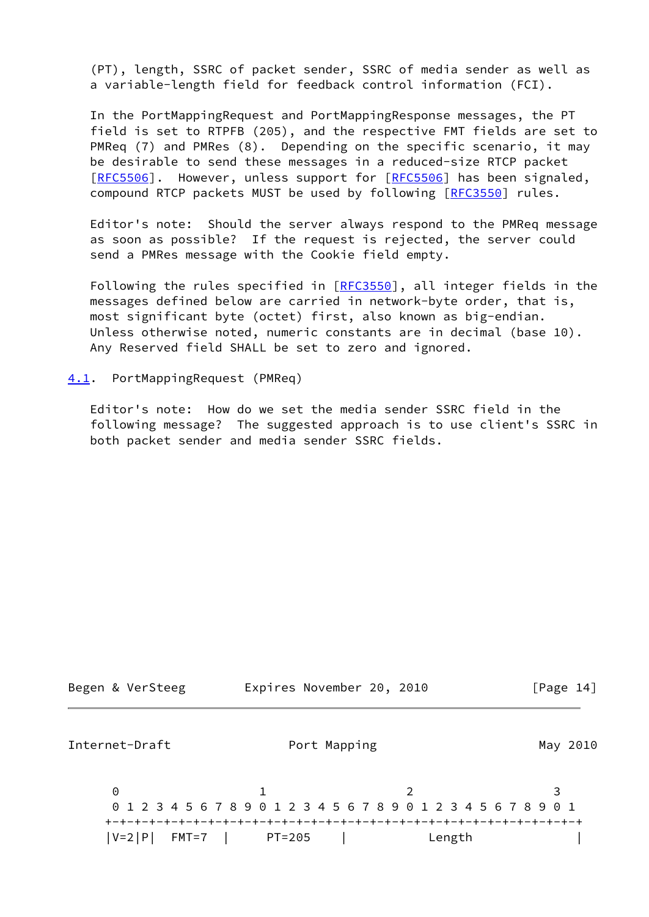(PT), length, SSRC of packet sender, SSRC of media sender as well as a variable-length field for feedback control information (FCI).

 In the PortMappingRequest and PortMappingResponse messages, the PT field is set to RTPFB (205), and the respective FMT fields are set to PMReq (7) and PMRes (8). Depending on the specific scenario, it may be desirable to send these messages in a reduced-size RTCP packet [\[RFC5506](https://datatracker.ietf.org/doc/pdf/rfc5506)]. However, unless support for [RFC5506] has been signaled, compound RTCP packets MUST be used by following [\[RFC3550](https://datatracker.ietf.org/doc/pdf/rfc3550)] rules.

 Editor's note: Should the server always respond to the PMReq message as soon as possible? If the request is rejected, the server could send a PMRes message with the Cookie field empty.

Following the rules specified in [\[RFC3550](https://datatracker.ietf.org/doc/pdf/rfc3550)], all integer fields in the messages defined below are carried in network-byte order, that is, most significant byte (octet) first, also known as big-endian. Unless otherwise noted, numeric constants are in decimal (base 10). Any Reserved field SHALL be set to zero and ignored.

## <span id="page-15-0"></span>[4.1](#page-15-0). PortMappingRequest (PMReq)

 Editor's note: How do we set the media sender SSRC field in the following message? The suggested approach is to use client's SSRC in both packet sender and media sender SSRC fields.

<span id="page-15-1"></span>

| Begen & VerSteeg     | Expires November 20, 2010                                       | [Page $14$ ] |
|----------------------|-----------------------------------------------------------------|--------------|
| Internet-Draft       | Port Mapping                                                    | May 2010     |
| $\Theta$             | 0 1 2 3 4 5 6 7 8 9 0 1 2 3 4 5 6 7 8 9 0 1 2 3 4 5 6 7 8 9 0 1 |              |
| $ V=2 P $<br>$FMT=7$ | PT=205<br>Length                                                |              |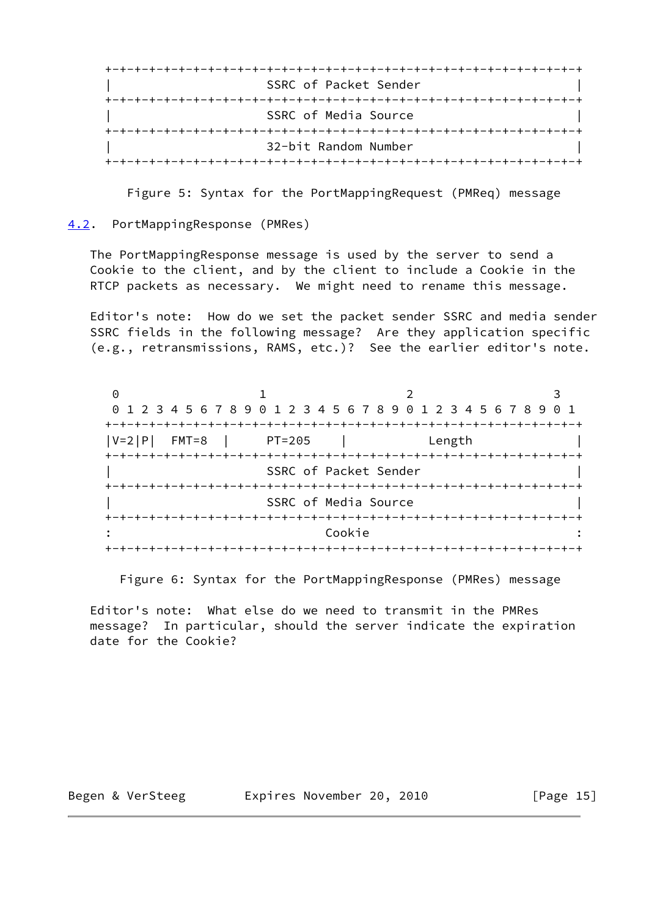| SSRC of Packet Sender |
|-----------------------|
|                       |
| SSRC of Media Source  |
|                       |
| 32-bit Random Number  |

Figure 5: Syntax for the PortMappingRequest (PMReq) message

<span id="page-16-0"></span>[4.2](#page-16-0). PortMappingResponse (PMRes)

 The PortMappingResponse message is used by the server to send a Cookie to the client, and by the client to include a Cookie in the RTCP packets as necessary. We might need to rename this message.

 Editor's note: How do we set the packet sender SSRC and media sender SSRC fields in the following message? Are they application specific (e.g., retransmissions, RAMS, etc.)? See the earlier editor's note.

| $\left(\cdot\right)$ |                                                                 |                                        |        |  |
|----------------------|-----------------------------------------------------------------|----------------------------------------|--------|--|
|                      | 0 1 2 3 4 5 6 7 8 9 0 1 2 3 4 5 6 7 8 9 0 1 2 3 4 5 6 7 8 9 0 1 |                                        |        |  |
|                      |                                                                 |                                        |        |  |
| $ V=2 P $<br>$FMT=8$ | $PT=205$                                                        |                                        | Length |  |
|                      |                                                                 |                                        |        |  |
|                      |                                                                 | SSRC of Packet Sender                  |        |  |
|                      |                                                                 | -+-+-+-+-+-+-+-+-+-+-+-+-+-+-+-+-+-+-+ |        |  |
|                      |                                                                 | SSRC of Media Source                   |        |  |
|                      |                                                                 |                                        |        |  |
|                      |                                                                 | Cookie                                 |        |  |
|                      |                                                                 | --+-+-+-+-+-+-+-+-                     |        |  |

Figure 6: Syntax for the PortMappingResponse (PMRes) message

 Editor's note: What else do we need to transmit in the PMRes message? In particular, should the server indicate the expiration date for the Cookie?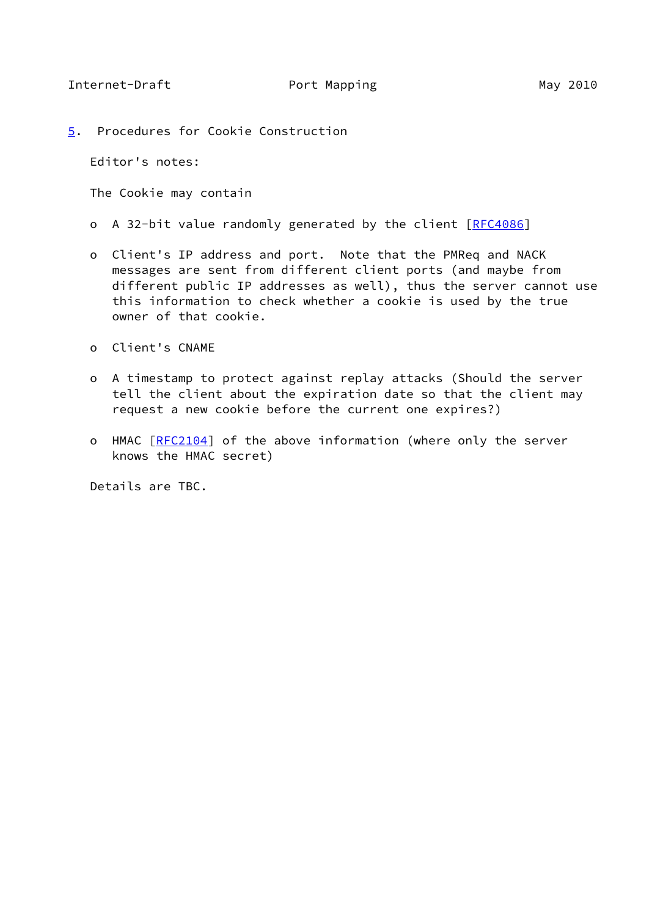<span id="page-17-1"></span><span id="page-17-0"></span>[5](#page-17-0). Procedures for Cookie Construction

Editor's notes:

The Cookie may contain

- o A 32-bit value randomly generated by the client [[RFC4086\]](https://datatracker.ietf.org/doc/pdf/rfc4086)
- o Client's IP address and port. Note that the PMReq and NACK messages are sent from different client ports (and maybe from different public IP addresses as well), thus the server cannot use this information to check whether a cookie is used by the true owner of that cookie.
- o Client's CNAME
- o A timestamp to protect against replay attacks (Should the server tell the client about the expiration date so that the client may request a new cookie before the current one expires?)
- o HMAC [\[RFC2104](https://datatracker.ietf.org/doc/pdf/rfc2104)] of the above information (where only the server knows the HMAC secret)

Details are TBC.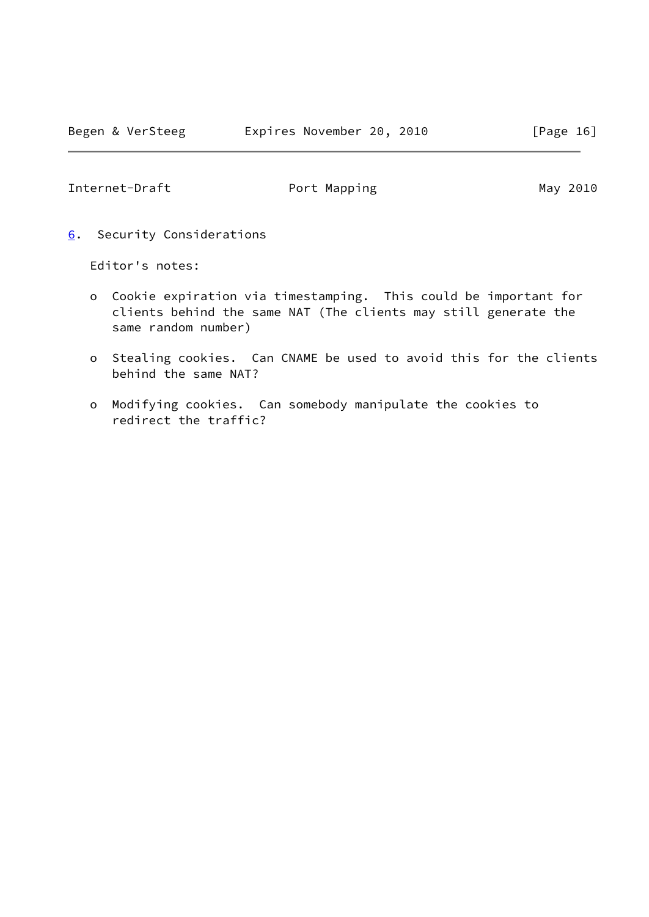<span id="page-18-1"></span><span id="page-18-0"></span>[6](#page-18-0). Security Considerations

Editor's notes:

- o Cookie expiration via timestamping. This could be important for clients behind the same NAT (The clients may still generate the same random number)
- o Stealing cookies. Can CNAME be used to avoid this for the clients behind the same NAT?
- o Modifying cookies. Can somebody manipulate the cookies to redirect the traffic?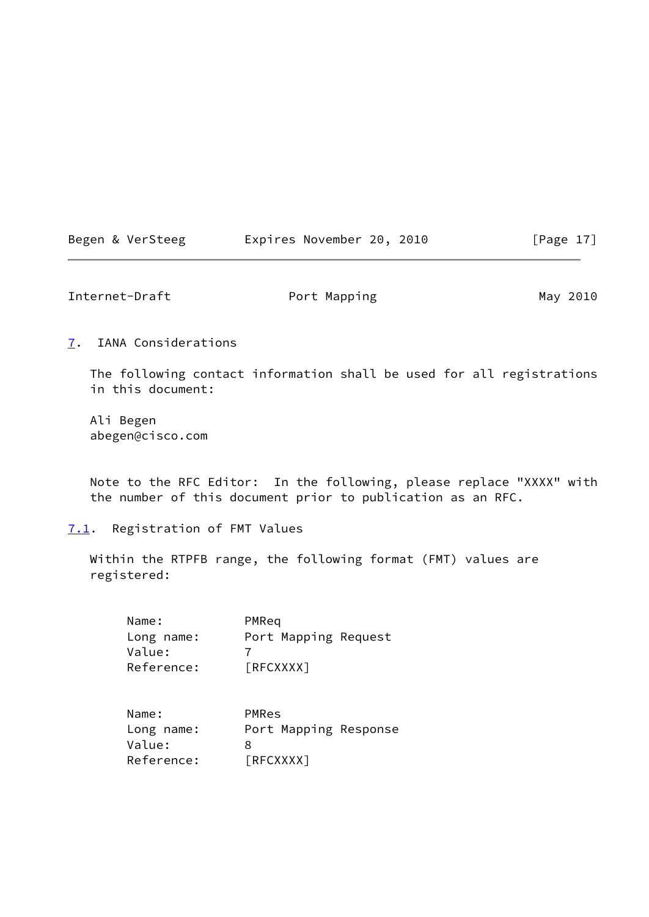|  | Begen & VerSteeg | Expires November 20, 2010 | [Page $17$ ] |
|--|------------------|---------------------------|--------------|
|--|------------------|---------------------------|--------------|

<span id="page-19-1"></span>

| Internet-Draft | Port Mapping | May 2010 |
|----------------|--------------|----------|
|                |              |          |

<span id="page-19-0"></span>[7](#page-19-0). IANA Considerations

 The following contact information shall be used for all registrations in this document:

 Ali Begen abegen@cisco.com

 Note to the RFC Editor: In the following, please replace "XXXX" with the number of this document prior to publication as an RFC.

<span id="page-19-2"></span>[7.1](#page-19-2). Registration of FMT Values

 Within the RTPFB range, the following format (FMT) values are registered:

| Name:<br>Long name:<br>Value:<br>Reference: | PMReq<br>Port Mapping Request<br>[REXXXX] |
|---------------------------------------------|-------------------------------------------|
| Name:<br>Long name:<br>Value:               | PMRes<br>Port Mapping Response<br>8       |

Reference: [RFCXXXX]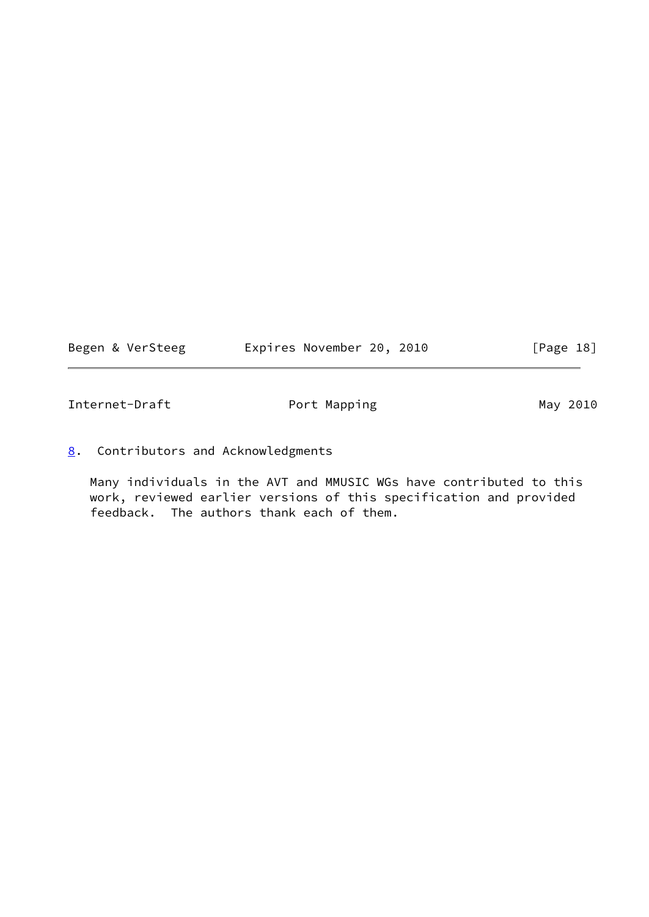<span id="page-20-1"></span>

|  |  | Begen & VerSteeg |  | Expires November 20, 2010 |  |  | [Page 18] |  |  |
|--|--|------------------|--|---------------------------|--|--|-----------|--|--|
|--|--|------------------|--|---------------------------|--|--|-----------|--|--|

<span id="page-20-0"></span>[8](#page-20-0). Contributors and Acknowledgments

 Many individuals in the AVT and MMUSIC WGs have contributed to this work, reviewed earlier versions of this specification and provided feedback. The authors thank each of them.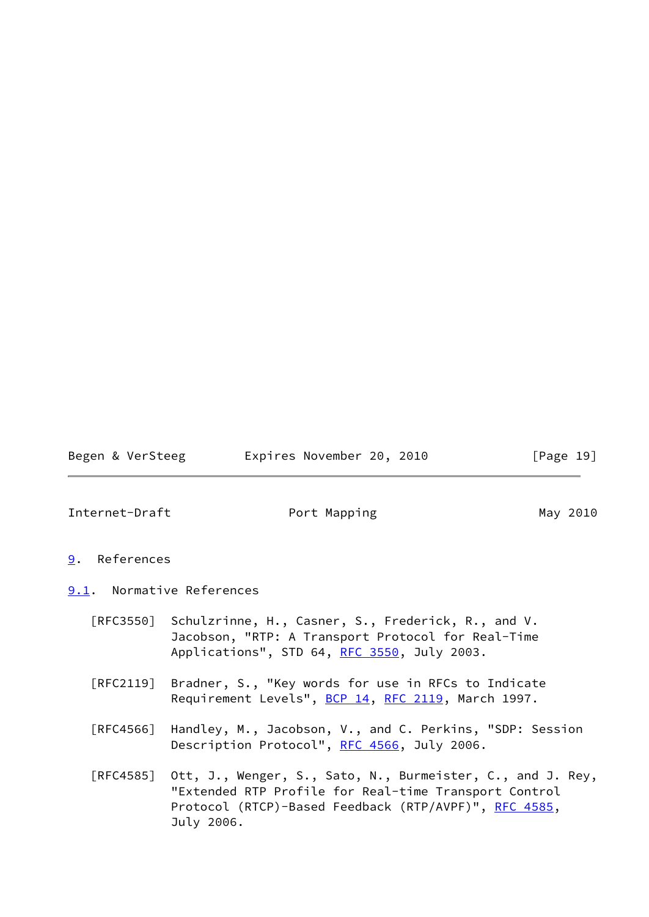Begen & VerSteeg Expires November 20, 2010 [Page 19]

<span id="page-21-1"></span>Internet-Draft **Port Mapping May 2010** 

- <span id="page-21-0"></span>[9](#page-21-0). References
- <span id="page-21-2"></span>[9.1](#page-21-2). Normative References
	- [RFC3550] Schulzrinne, H., Casner, S., Frederick, R., and V. Jacobson, "RTP: A Transport Protocol for Real-Time Applications", STD 64, [RFC 3550](https://datatracker.ietf.org/doc/pdf/rfc3550), July 2003.
	- [RFC2119] Bradner, S., "Key words for use in RFCs to Indicate Requirement Levels", [BCP 14](https://datatracker.ietf.org/doc/pdf/bcp14), [RFC 2119](https://datatracker.ietf.org/doc/pdf/rfc2119), March 1997.
	- [RFC4566] Handley, M., Jacobson, V., and C. Perkins, "SDP: Session Description Protocol", [RFC 4566](https://datatracker.ietf.org/doc/pdf/rfc4566), July 2006.
	- [RFC4585] Ott, J., Wenger, S., Sato, N., Burmeister, C., and J. Rey, "Extended RTP Profile for Real-time Transport Control Protocol (RTCP)-Based Feedback (RTP/AVPF)", [RFC 4585,](https://datatracker.ietf.org/doc/pdf/rfc4585) July 2006.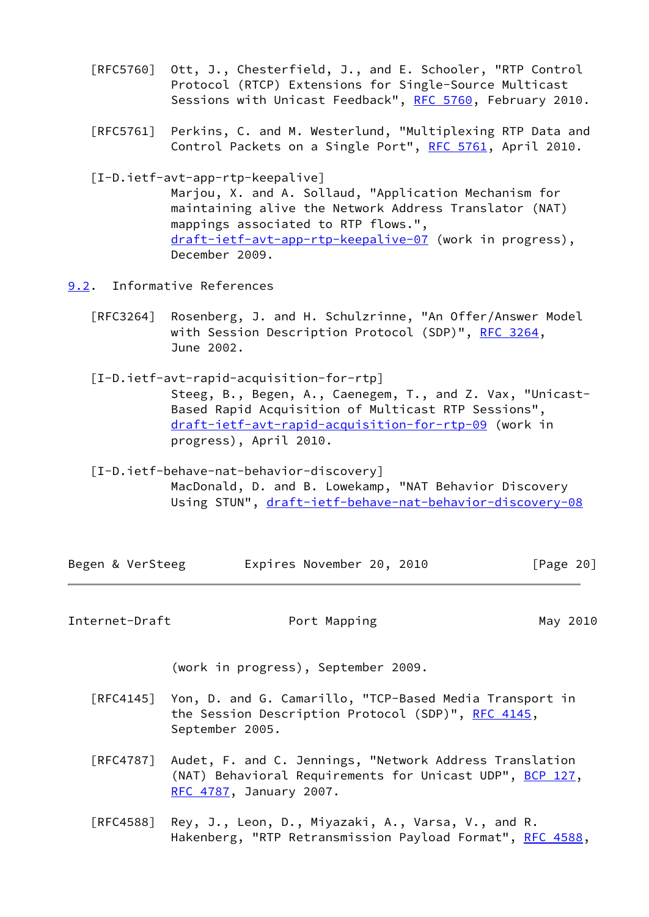- [RFC5760] Ott, J., Chesterfield, J., and E. Schooler, "RTP Control Protocol (RTCP) Extensions for Single-Source Multicast Sessions with Unicast Feedback", [RFC 5760,](https://datatracker.ietf.org/doc/pdf/rfc5760) February 2010.
- [RFC5761] Perkins, C. and M. Westerlund, "Multiplexing RTP Data and Control Packets on a Single Port", [RFC 5761](https://datatracker.ietf.org/doc/pdf/rfc5761), April 2010.
- <span id="page-22-2"></span>[I-D.ietf-avt-app-rtp-keepalive]

 Marjou, X. and A. Sollaud, "Application Mechanism for maintaining alive the Network Address Translator (NAT) mappings associated to RTP flows.", [draft-ietf-avt-app-rtp-keepalive-07](https://datatracker.ietf.org/doc/pdf/draft-ietf-avt-app-rtp-keepalive-07) (work in progress), December 2009.

- <span id="page-22-1"></span><span id="page-22-0"></span>[9.2](#page-22-0). Informative References
	- [RFC3264] Rosenberg, J. and H. Schulzrinne, "An Offer/Answer Model with Session Description Protocol (SDP)", [RFC 3264](https://datatracker.ietf.org/doc/pdf/rfc3264), June 2002.
	- [I-D.ietf-avt-rapid-acquisition-for-rtp] Steeg, B., Begen, A., Caenegem, T., and Z. Vax, "Unicast- Based Rapid Acquisition of Multicast RTP Sessions", [draft-ietf-avt-rapid-acquisition-for-rtp-09](https://datatracker.ietf.org/doc/pdf/draft-ietf-avt-rapid-acquisition-for-rtp-09) (work in progress), April 2010.
	- [I-D.ietf-behave-nat-behavior-discovery] MacDonald, D. and B. Lowekamp, "NAT Behavior Discovery Using STUN", [draft-ietf-behave-nat-behavior-discovery-08](https://datatracker.ietf.org/doc/pdf/draft-ietf-behave-nat-behavior-discovery-08)

<span id="page-22-3"></span>

|  |  | Begen & VerSteeg |  | Expires November 20, 2010 |  |  | [Page 20] |  |
|--|--|------------------|--|---------------------------|--|--|-----------|--|
|--|--|------------------|--|---------------------------|--|--|-----------|--|

Internet-Draft **Port Mapping May 2010** 

(work in progress), September 2009.

- [RFC4145] Yon, D. and G. Camarillo, "TCP-Based Media Transport in the Session Description Protocol (SDP)", [RFC 4145,](https://datatracker.ietf.org/doc/pdf/rfc4145) September 2005.
- [RFC4787] Audet, F. and C. Jennings, "Network Address Translation (NAT) Behavioral Requirements for Unicast UDP", [BCP 127](https://datatracker.ietf.org/doc/pdf/bcp127), [RFC 4787,](https://datatracker.ietf.org/doc/pdf/rfc4787) January 2007.
- [RFC4588] Rey, J., Leon, D., Miyazaki, A., Varsa, V., and R. Hakenberg, "RTP Retransmission Payload Format", [RFC 4588,](https://datatracker.ietf.org/doc/pdf/rfc4588)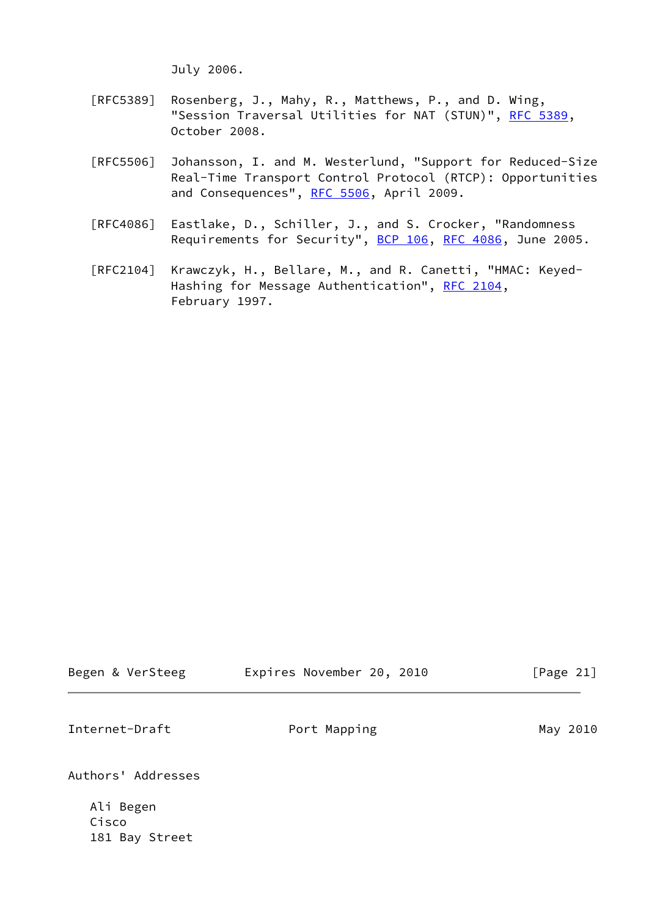July 2006.

- [RFC5389] Rosenberg, J., Mahy, R., Matthews, P., and D. Wing, "Session Traversal Utilities for NAT (STUN)", [RFC 5389](https://datatracker.ietf.org/doc/pdf/rfc5389), October 2008.
- [RFC5506] Johansson, I. and M. Westerlund, "Support for Reduced-Size Real-Time Transport Control Protocol (RTCP): Opportunities and Consequences", [RFC 5506](https://datatracker.ietf.org/doc/pdf/rfc5506), April 2009.
- [RFC4086] Eastlake, D., Schiller, J., and S. Crocker, "Randomness Requirements for Security", [BCP 106](https://datatracker.ietf.org/doc/pdf/bcp106), [RFC 4086](https://datatracker.ietf.org/doc/pdf/rfc4086), June 2005.
- [RFC2104] Krawczyk, H., Bellare, M., and R. Canetti, "HMAC: Keyed- Hashing for Message Authentication", [RFC 2104](https://datatracker.ietf.org/doc/pdf/rfc2104), February 1997.

<span id="page-23-0"></span>

| Begen & VerSteeg                     | Expires November 20, 2010 | [Page 21] |
|--------------------------------------|---------------------------|-----------|
| Internet-Draft                       | Port Mapping              | May 2010  |
| Authors' Addresses                   |                           |           |
| Ali Begen<br>Cisco<br>181 Bay Street |                           |           |